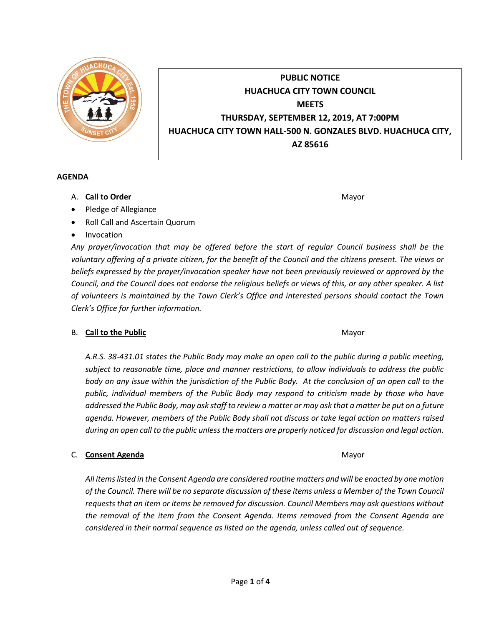

# **PUBLIC NOTICE HUACHUCA CITY TOWN COUNCIL MEETS THURSDAY, SEPTEMBER 12, 2019, AT 7:00PM HUACHUCA CITY TOWN HALL-500 N. GONZALES BLVD. HUACHUCA CITY, AZ 85616**

#### **AGENDA**

- A. **Call to Order** Mayor **Mayor** Mayor **Mayor** Mayor **Mayor**
- Pledge of Allegiance
- Roll Call and Ascertain Quorum
- Invocation

*Any prayer/invocation that may be offered before the start of regular Council business shall be the voluntary offering of a private citizen, for the benefit of the Council and the citizens present. The views or beliefs expressed by the prayer/invocation speaker have not been previously reviewed or approved by the Council, and the Council does not endorse the religious beliefs or views of this, or any other speaker. A list of volunteers is maintained by the Town Clerk's Office and interested persons should contact the Town Clerk's Office for further information.*

## B. **Call to the Public** Mayor **Mayor** Mayor **Mayor** Mayor

*A.R.S. 38-431.01 states the Public Body may make an open call to the public during a public meeting, subject to reasonable time, place and manner restrictions, to allow individuals to address the public body on any issue within the jurisdiction of the Public Body. At the conclusion of an open call to the public, individual members of the Public Body may respond to criticism made by those who have addressed the Public Body, may ask staff to review a matter or may ask that a matter be put on a future agenda. However, members of the Public Body shall not discuss or take legal action on matters raised during an open call to the public unless the matters are properly noticed for discussion and legal action.*

## C. **Consent Agenda** Mayor **C. Consent Agenda** Mayor **Mayor**

*All items listed in the Consent Agenda are considered routine matters and will be enacted by one motion of the Council. There will be no separate discussion of these items unless a Member of the Town Council requests that an item or items be removed for discussion. Council Members may ask questions without the removal of the item from the Consent Agenda. Items removed from the Consent Agenda are considered in their normal sequence as listed on the agenda, unless called out of sequence.*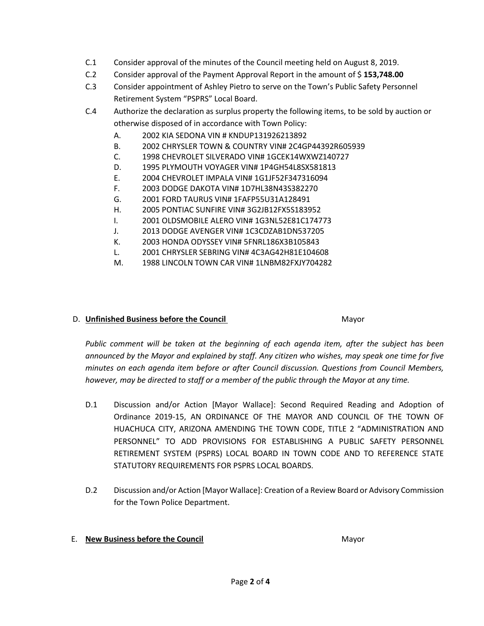- C.1 Consider approval of the minutes of the Council meeting held on August 8, 2019.
- C.2 Consider approval of the Payment Approval Report in the amount of \$ **153,748.00**
- C.3 Consider appointment of Ashley Pietro to serve on the Town's Public Safety Personnel Retirement System "PSPRS" Local Board.
- C.4 Authorize the declaration as surplus property the following items, to be sold by auction or otherwise disposed of in accordance with Town Policy:
	- A. 2002 KIA SEDONA VIN # KNDUP131926213892
	- B. 2002 CHRYSLER TOWN & COUNTRY VIN# 2C4GP44392R605939
	- C. 1998 CHEVROLET SILVERADO VIN# 1GCEK14WXWZ140727
	- D. 1995 PLYMOUTH VOYAGER VIN# 1P4GH54L8SX581813
	- E. 2004 CHEVROLET IMPALA VIN# 1G1JF52F347316094
	- F. 2003 DODGE DAKOTA VIN# 1D7HL38N43S382270
	- G. 2001 FORD TAURUS VIN# 1FAFP55U31A128491
	- H. 2005 PONTIAC SUNFIRE VIN# 3G2JB12FX5S183952
	- I. 2001 OLDSMOBILE ALERO VIN# 1G3NL52E81C174773
	- J. 2013 DODGE AVENGER VIN# 1C3CDZAB1DN537205
	- K. 2003 HONDA ODYSSEY VIN# 5FNRL186X3B105843
	- L. 2001 CHRYSLER SEBRING VIN# 4C3AG42H81E104608
	- M. 1988 LINCOLN TOWN CAR VIN# 1LNBM82FXJY704282

## D. **Unfinished Business before the Council** Mayor

*Public comment will be taken at the beginning of each agenda item, after the subject has been announced by the Mayor and explained by staff. Any citizen who wishes, may speak one time for five minutes on each agenda item before or after Council discussion. Questions from Council Members, however, may be directed to staff or a member of the public through the Mayor at any time.*

- D.1 Discussion and/or Action [Mayor Wallace]: Second Required Reading and Adoption of Ordinance 2019-15, AN ORDINANCE OF THE MAYOR AND COUNCIL OF THE TOWN OF HUACHUCA CITY, ARIZONA AMENDING THE TOWN CODE, TITLE 2 "ADMINISTRATION AND PERSONNEL" TO ADD PROVISIONS FOR ESTABLISHING A PUBLIC SAFETY PERSONNEL RETIREMENT SYSTEM (PSPRS) LOCAL BOARD IN TOWN CODE AND TO REFERENCE STATE STATUTORY REQUIREMENTS FOR PSPRS LOCAL BOARDS.
- D.2 Discussion and/or Action [Mayor Wallace]: Creation of a Review Board or Advisory Commission for the Town Police Department.

## E. **New Business before the Council** Mayor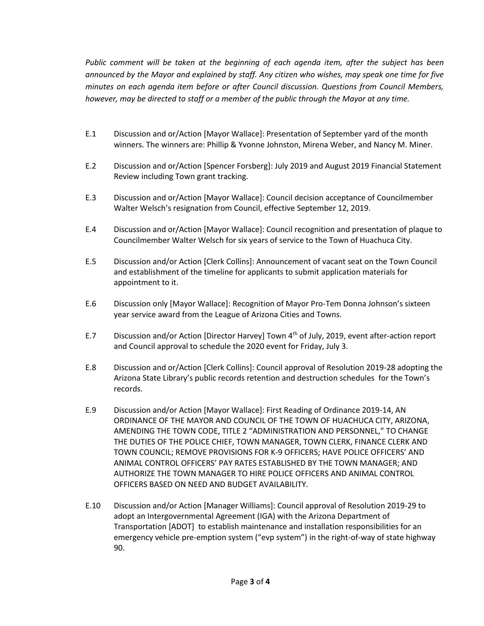*Public comment will be taken at the beginning of each agenda item, after the subject has been announced by the Mayor and explained by staff. Any citizen who wishes, may speak one time for five minutes on each agenda item before or after Council discussion. Questions from Council Members, however, may be directed to staff or a member of the public through the Mayor at any time.*

- E.1 Discussion and or/Action [Mayor Wallace]: Presentation of September yard of the month winners. The winners are: Phillip & Yvonne Johnston, Mirena Weber, and Nancy M. Miner.
- E.2 Discussion and or/Action [Spencer Forsberg]: July 2019 and August 2019 Financial Statement Review including Town grant tracking.
- E.3 Discussion and or/Action [Mayor Wallace]: Council decision acceptance of Councilmember Walter Welsch's resignation from Council, effective September 12, 2019.
- E.4 Discussion and or/Action [Mayor Wallace]: Council recognition and presentation of plaque to Councilmember Walter Welsch for six years of service to the Town of Huachuca City.
- E.5 Discussion and/or Action [Clerk Collins]: Announcement of vacant seat on the Town Council and establishment of the timeline for applicants to submit application materials for appointment to it.
- E.6 Discussion only [Mayor Wallace]: Recognition of Mayor Pro-Tem Donna Johnson's sixteen year service award from the League of Arizona Cities and Towns.
- E.7 Discussion and/or Action [Director Harvey] Town 4th of July, 2019, event after-action report and Council approval to schedule the 2020 event for Friday, July 3.
- E.8 Discussion and or/Action [Clerk Collins]: Council approval of Resolution 2019-28 adopting the Arizona State Library's public records retention and destruction schedules for the Town's records.
- E.9 Discussion and/or Action [Mayor Wallace]: First Reading of Ordinance 2019-14, AN ORDINANCE OF THE MAYOR AND COUNCIL OF THE TOWN OF HUACHUCA CITY, ARIZONA, AMENDING THE TOWN CODE, TITLE 2 "ADMINISTRATION AND PERSONNEL," TO CHANGE THE DUTIES OF THE POLICE CHIEF, TOWN MANAGER, TOWN CLERK, FINANCE CLERK AND TOWN COUNCIL; REMOVE PROVISIONS FOR K-9 OFFICERS; HAVE POLICE OFFICERS' AND ANIMAL CONTROL OFFICERS' PAY RATES ESTABLISHED BY THE TOWN MANAGER; AND AUTHORIZE THE TOWN MANAGER TO HIRE POLICE OFFICERS AND ANIMAL CONTROL OFFICERS BASED ON NEED AND BUDGET AVAILABILITY.
- E.10 Discussion and/or Action [Manager Williams]: Council approval of Resolution 2019-29 to adopt an Intergovernmental Agreement (IGA) with the Arizona Department of Transportation [ADOT] to establish maintenance and installation responsibilities for an emergency vehicle pre-emption system ("evp system") in the right-of-way of state highway 90.